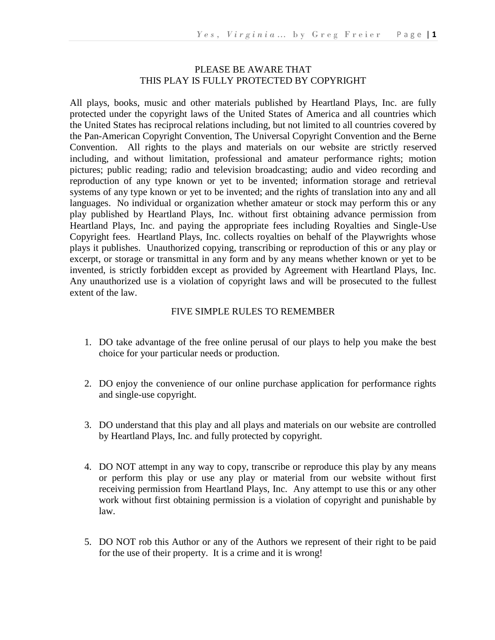#### PLEASE BE AWARE THAT THIS PLAY IS FULLY PROTECTED BY COPYRIGHT

All plays, books, music and other materials published by Heartland Plays, Inc. are fully protected under the copyright laws of the United States of America and all countries which the United States has reciprocal relations including, but not limited to all countries covered by the Pan-American Copyright Convention, The Universal Copyright Convention and the Berne Convention. All rights to the plays and materials on our website are strictly reserved including, and without limitation, professional and amateur performance rights; motion pictures; public reading; radio and television broadcasting; audio and video recording and reproduction of any type known or yet to be invented; information storage and retrieval systems of any type known or yet to be invented; and the rights of translation into any and all languages. No individual or organization whether amateur or stock may perform this or any play published by Heartland Plays, Inc. without first obtaining advance permission from Heartland Plays, Inc. and paying the appropriate fees including Royalties and Single-Use Copyright fees. Heartland Plays, Inc. collects royalties on behalf of the Playwrights whose plays it publishes. Unauthorized copying, transcribing or reproduction of this or any play or excerpt, or storage or transmittal in any form and by any means whether known or yet to be invented, is strictly forbidden except as provided by Agreement with Heartland Plays, Inc. Any unauthorized use is a violation of copyright laws and will be prosecuted to the fullest extent of the law.

#### FIVE SIMPLE RULES TO REMEMBER

- 1. DO take advantage of the free online perusal of our plays to help you make the best choice for your particular needs or production.
- 2. DO enjoy the convenience of our online purchase application for performance rights and single-use copyright.
- 3. DO understand that this play and all plays and materials on our website are controlled by Heartland Plays, Inc. and fully protected by copyright.
- 4. DO NOT attempt in any way to copy, transcribe or reproduce this play by any means or perform this play or use any play or material from our website without first receiving permission from Heartland Plays, Inc. Any attempt to use this or any other work without first obtaining permission is a violation of copyright and punishable by law.
- 5. DO NOT rob this Author or any of the Authors we represent of their right to be paid for the use of their property. It is a crime and it is wrong!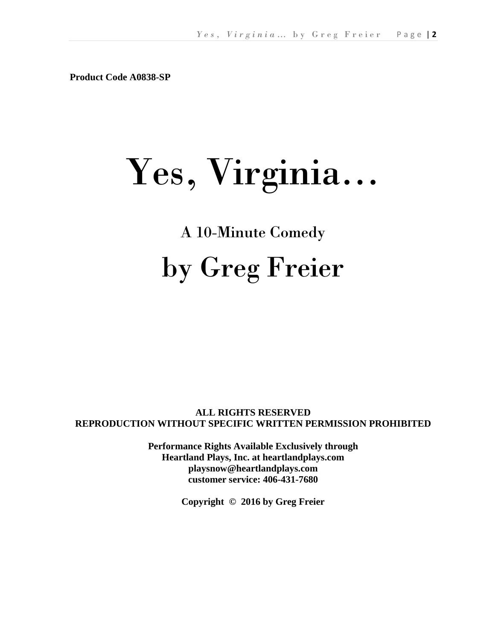**Product Code A0838-SP**

# Yes, Virginia…

## A 10-Minute Comedy by Greg Freier

**ALL RIGHTS RESERVED REPRODUCTION WITHOUT SPECIFIC WRITTEN PERMISSION PROHIBITED**

> **Performance Rights Available Exclusively through Heartland Plays, Inc. at heartlandplays.com playsnow@heartlandplays.com customer service: 406-431-7680**

> > **Copyright © 2016 by Greg Freier**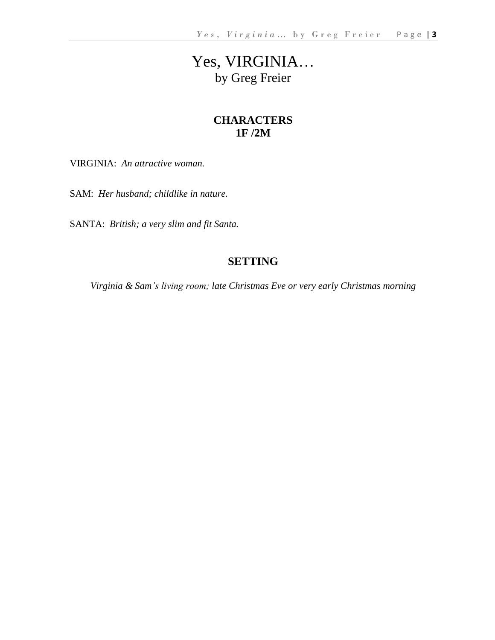### Yes, VIRGINIA… by Greg Freier

#### **CHARACTERS 1F /2M**

VIRGINIA: *An attractive woman.*

SAM: *Her husband; childlike in nature.*

SANTA: *British; a very slim and fit Santa.*

#### **SETTING**

*Virginia & Sam's living room; late Christmas Eve or very early Christmas morning*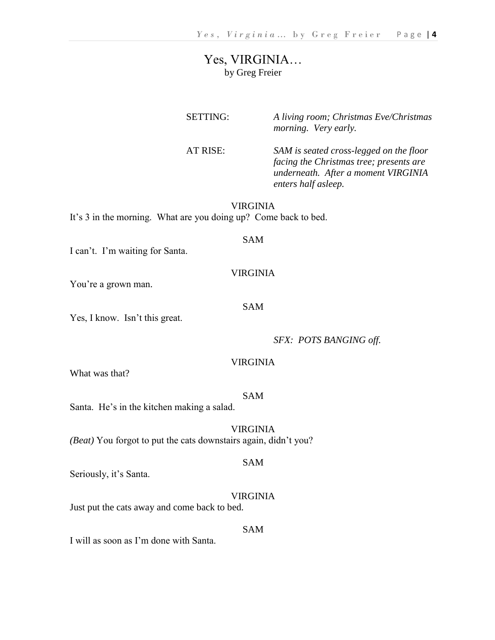#### Yes, VIRGINIA… by Greg Freier

| <b>SETTING:</b> | A living room; Christmas Eve/Christmas<br>morning. Very early.                                                                                   |
|-----------------|--------------------------------------------------------------------------------------------------------------------------------------------------|
| AT RISE:        | SAM is seated cross-legged on the floor<br>facing the Christmas tree; presents are<br>underneath. After a moment VIRGINIA<br>enters half asleep. |

VIRGINIA It's 3 in the morning. What are you doing up? Come back to bed.

#### SAM

I can't. I'm waiting for Santa.

#### VIRGINIA

SAM

You're a grown man.

Yes, I know. Isn't this great.

*SFX: POTS BANGING off.*

#### VIRGINIA

What was that?

#### SAM

Santa. He's in the kitchen making a salad.

#### VIRGINIA

*(Beat)* You forgot to put the cats downstairs again, didn't you?

#### SAM

Seriously, it's Santa.

#### VIRGINIA

Just put the cats away and come back to bed.

#### SAM

I will as soon as I'm done with Santa.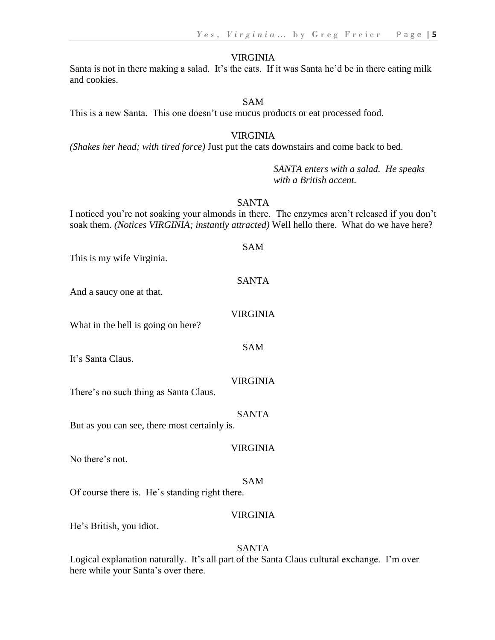#### VIRGINIA

Santa is not in there making a salad. It's the cats. If it was Santa he'd be in there eating milk and cookies.

#### SAM

This is a new Santa. This one doesn't use mucus products or eat processed food.

#### VIRGINIA

*(Shakes her head; with tired force)* Just put the cats downstairs and come back to bed.

*SANTA enters with a salad. He speaks with a British accent.*

#### SANTA

I noticed you're not soaking your almonds in there. The enzymes aren't released if you don't soak them. *(Notices VIRGINIA; instantly attracted)* Well hello there. What do we have here?

SAM

This is my wife Virginia.

#### SANTA

And a saucy one at that.

#### VIRGINIA

SAM

What in the hell is going on here?

It's Santa Claus.

#### VIRGINIA

There's no such thing as Santa Claus.

#### SANTA

But as you can see, there most certainly is.

#### VIRGINIA

No there's not.

#### SAM

Of course there is. He's standing right there.

#### VIRGINIA

He's British, you idiot.

#### SANTA

Logical explanation naturally. It's all part of the Santa Claus cultural exchange. I'm over here while your Santa's over there.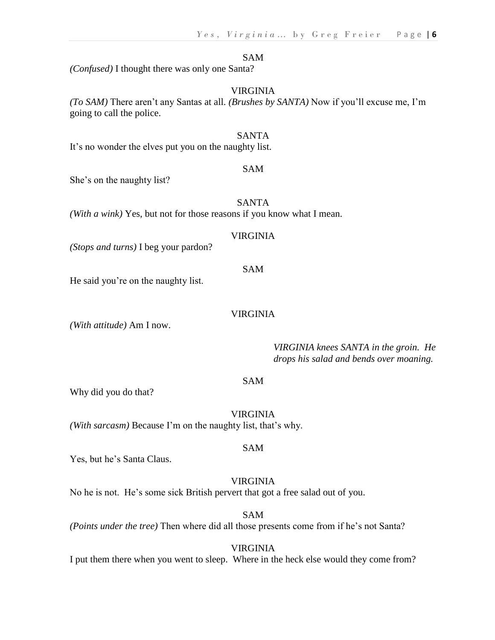#### SAM

*(Confused)* I thought there was only one Santa?

#### VIRGINIA

*(To SAM)* There aren't any Santas at all. *(Brushes by SANTA)* Now if you'll excuse me, I'm going to call the police.

#### SANTA

It's no wonder the elves put you on the naughty list.

#### SAM

She's on the naughty list?

#### SANTA

*(With a wink)* Yes, but not for those reasons if you know what I mean.

#### VIRGINIA

*(Stops and turns)* I beg your pardon?

#### SAM

He said you're on the naughty list.

#### VIRGINIA

*(With attitude)* Am I now.

*VIRGINIA knees SANTA in the groin. He drops his salad and bends over moaning.*

#### SAM

Why did you do that?

VIRGINIA *(With sarcasm)* Because I'm on the naughty list, that's why.

#### SAM

Yes, but he's Santa Claus.

#### VIRGINIA

No he is not. He's some sick British pervert that got a free salad out of you.

SAM *(Points under the tree)* Then where did all those presents come from if he's not Santa?

#### VIRGINIA

I put them there when you went to sleep. Where in the heck else would they come from?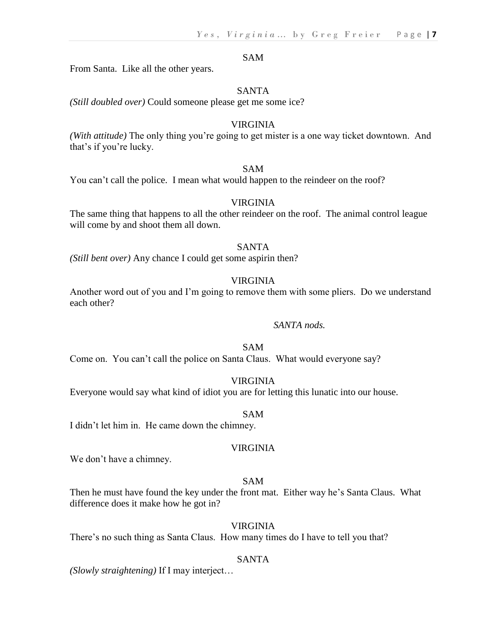#### SAM

From Santa. Like all the other years.

#### SANTA

*(Still doubled over)* Could someone please get me some ice?

#### VIRGINIA

*(With attitude)* The only thing you're going to get mister is a one way ticket downtown. And that's if you're lucky.

#### SAM

You can't call the police. I mean what would happen to the reindeer on the roof?

#### VIRGINIA

The same thing that happens to all the other reindeer on the roof. The animal control league will come by and shoot them all down.

#### SANTA

*(Still bent over)* Any chance I could get some aspirin then?

#### VIRGINIA

Another word out of you and I'm going to remove them with some pliers. Do we understand each other?

#### *SANTA nods.*

#### SAM

Come on. You can't call the police on Santa Claus. What would everyone say?

#### VIRGINIA

Everyone would say what kind of idiot you are for letting this lunatic into our house.

#### SAM

I didn't let him in. He came down the chimney.

#### VIRGINIA

We don't have a chimney.

#### SAM

Then he must have found the key under the front mat. Either way he's Santa Claus. What difference does it make how he got in?

#### VIRGINIA

There's no such thing as Santa Claus. How many times do I have to tell you that?

#### SANTA

*(Slowly straightening)* If I may interject…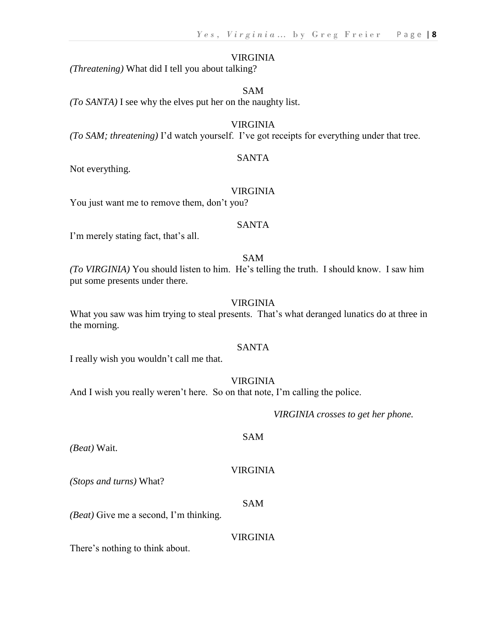#### VIRGINIA

*(Threatening)* What did I tell you about talking?

#### SAM

*(To SANTA)* I see why the elves put her on the naughty list.

#### VIRGINIA

*(To SAM; threatening)* I'd watch yourself. I've got receipts for everything under that tree.

#### SANTA

Not everything.

#### VIRGINIA

You just want me to remove them, don't you?

#### SANTA

I'm merely stating fact, that's all.

#### SAM

*(To VIRGINIA)* You should listen to him. He's telling the truth. I should know. I saw him put some presents under there.

#### VIRGINIA

What you saw was him trying to steal presents. That's what deranged lunatics do at three in the morning.

#### SANTA

I really wish you wouldn't call me that.

#### VIRGINIA

And I wish you really weren't here. So on that note, I'm calling the police.

*VIRGINIA crosses to get her phone.*

#### SAM

*(Beat)* Wait.

#### VIRGINIA

*(Stops and turns)* What?

#### SAM

*(Beat)* Give me a second, I'm thinking.

#### VIRGINIA

There's nothing to think about.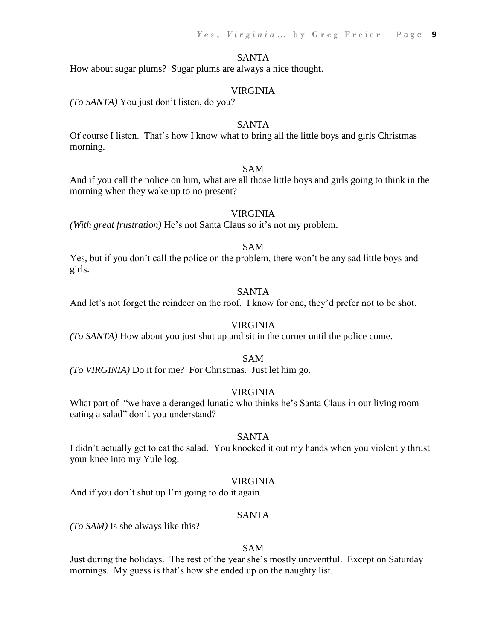#### SANTA

How about sugar plums? Sugar plums are always a nice thought.

#### VIRGINIA

*(To SANTA)* You just don't listen, do you?

#### SANTA

Of course I listen. That's how I know what to bring all the little boys and girls Christmas morning.

#### SAM

And if you call the police on him, what are all those little boys and girls going to think in the morning when they wake up to no present?

#### VIRGINIA

*(With great frustration)* He's not Santa Claus so it's not my problem.

#### SAM

Yes, but if you don't call the police on the problem, there won't be any sad little boys and girls.

#### SANTA

And let's not forget the reindeer on the roof. I know for one, they'd prefer not to be shot.

#### VIRGINIA

*(To SANTA)* How about you just shut up and sit in the corner until the police come.

#### SAM

*(To VIRGINIA)* Do it for me? For Christmas. Just let him go.

#### VIRGINIA

What part of "we have a deranged lunatic who thinks he's Santa Claus in our living room eating a salad" don't you understand?

#### SANTA

I didn't actually get to eat the salad. You knocked it out my hands when you violently thrust your knee into my Yule log.

#### VIRGINIA

And if you don't shut up I'm going to do it again.

#### SANTA

*(To SAM)* Is she always like this?

#### SAM

Just during the holidays. The rest of the year she's mostly uneventful. Except on Saturday mornings. My guess is that's how she ended up on the naughty list.